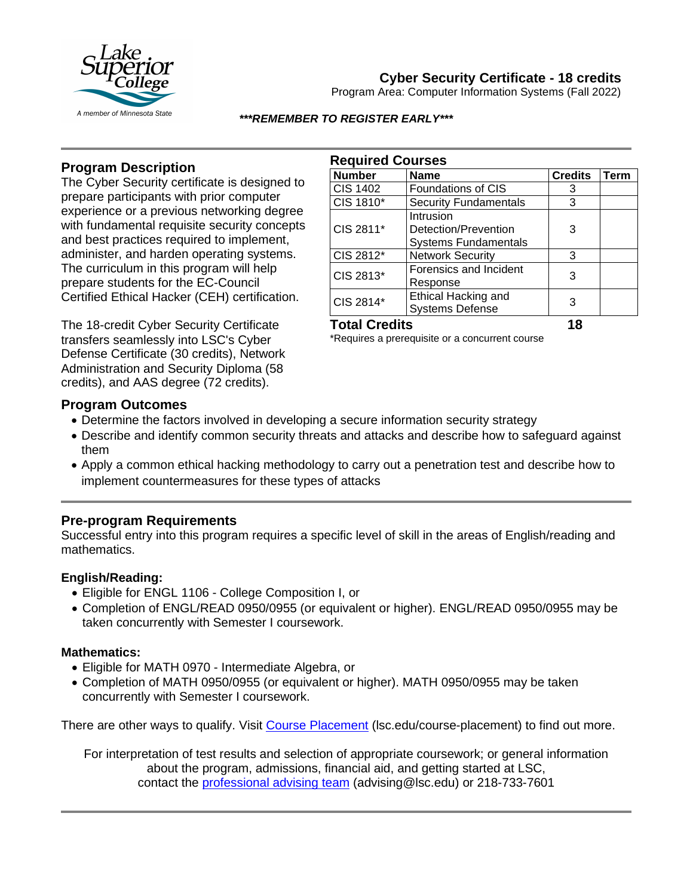

# **Cyber Security Certificate - 18 credits**

Program Area: Computer Information Systems (Fall 2022)

#### *\*\*\*REMEMBER TO REGISTER EARLY\*\*\**

### **Program Description**

The Cyber Security certificate is designed to prepare participants with prior computer experience or a previous networking degree with fundamental requisite security concepts and best practices required to implement, administer, and harden operating systems. The curriculum in this program will help prepare students for the EC-Council Certified Ethical Hacker (CEH) certification.

The 18-credit Cyber Security Certificate transfers seamlessly into LSC's Cyber Defense Certificate (30 credits), Network Administration and Security Diploma (58 credits), and AAS degree (72 credits).

## **Required Courses**

| <b>Number</b>   | <b>Name</b>                                                      | <b>Credits</b> | Term |
|-----------------|------------------------------------------------------------------|----------------|------|
| <b>CIS 1402</b> | <b>Foundations of CIS</b>                                        | 3              |      |
| CIS 1810*       | <b>Security Fundamentals</b>                                     | 3              |      |
| CIS 2811*       | Intrusion<br>Detection/Prevention<br><b>Systems Fundamentals</b> | 3              |      |
| CIS 2812*       | <b>Network Security</b>                                          | 3              |      |
| CIS 2813*       | Forensics and Incident<br>Response                               | 3              |      |
| CIS 2814*       | <b>Ethical Hacking and</b><br><b>Systems Defense</b>             |                |      |

## **Total Credits 18**

\*Requires a prerequisite or a concurrent course

#### **Program Outcomes**

- Determine the factors involved in developing a secure information security strategy
- Describe and identify common security threats and attacks and describe how to safeguard against them
- Apply a common ethical hacking methodology to carry out a penetration test and describe how to implement countermeasures for these types of attacks

### **Pre-program Requirements**

Successful entry into this program requires a specific level of skill in the areas of English/reading and mathematics.

#### **English/Reading:**

- Eligible for ENGL 1106 College Composition I, or
- Completion of ENGL/READ 0950/0955 (or equivalent or higher). ENGL/READ 0950/0955 may be taken concurrently with Semester I coursework.

#### **Mathematics:**

- Eligible for MATH 0970 Intermediate Algebra, or
- Completion of MATH 0950/0955 (or equivalent or higher). MATH 0950/0955 may be taken concurrently with Semester I coursework.

There are other ways to qualify. Visit [Course Placement](https://www.lsc.edu/course-placement/) (lsc.edu/course-placement) to find out more.

For interpretation of test results and selection of appropriate coursework; or general information about the program, admissions, financial aid, and getting started at LSC, contact the [professional advising team](mailto:advising@lsc.edu) (advising@lsc.edu) or 218-733-7601